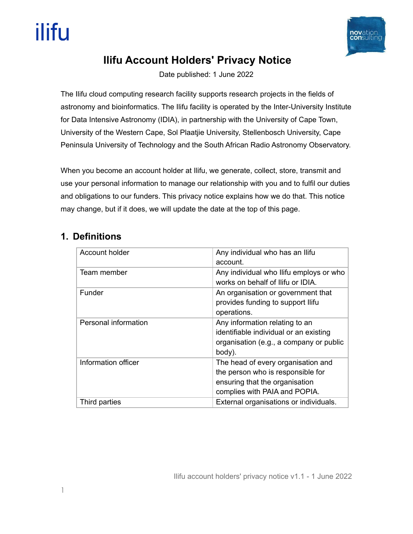

# **Ilifu Account Holders' Privacy Notice**

Date published: 1 June 2022

The Ilifu cloud computing research facility supports research projects in the fields of astronomy and bioinformatics. The Ilifu facility is operated by the Inter-University Institute for Data Intensive Astronomy (IDIA), in partnership with the University of Cape Town, University of the Western Cape, Sol Plaatjie University, Stellenbosch University, Cape Peninsula University of Technology and the South African Radio Astronomy Observatory.

When you become an account holder at Ilifu, we generate, collect, store, transmit and use your personal information to manage our relationship with you and to fulfil our duties and obligations to our funders. This privacy notice explains how we do that. This notice may change, but if it does, we will update the date at the top of this page.

# **1. Definitions**

| Account holder       | Any individual who has an Ilifu<br>account.                                                                                                |
|----------------------|--------------------------------------------------------------------------------------------------------------------------------------------|
| Team member          | Any individual who Ilifu employs or who<br>works on behalf of Ilifu or IDIA.                                                               |
| Funder               | An organisation or government that<br>provides funding to support Ilifu<br>operations.                                                     |
| Personal information | Any information relating to an<br>identifiable individual or an existing<br>organisation (e.g., a company or public<br>body).              |
| Information officer  | The head of every organisation and<br>the person who is responsible for<br>ensuring that the organisation<br>complies with PAIA and POPIA. |
| Third parties        | External organisations or individuals.                                                                                                     |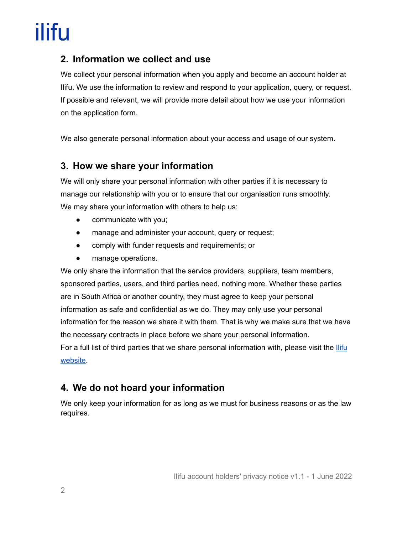### **2. Information we collect and use**

We collect your personal information when you apply and become an account holder at Ilifu. We use the information to review and respond to your application, query, or request. If possible and relevant, we will provide more detail about how we use your information on the application form.

We also generate personal information about your access and usage of our system.

#### **3. How we share your information**

We will only share your personal information with other parties if it is necessary to manage our relationship with you or to ensure that our organisation runs smoothly. We may share your information with others to help us:

- communicate with you;
- manage and administer your account, query or request;
- comply with funder requests and requirements; or
- manage operations.

We only share the information that the service providers, suppliers, team members, sponsored parties, users, and third parties need, nothing more. Whether these parties are in South Africa or another country, they must agree to keep your personal information as safe and confidential as we do. They may only use your personal information for the reason we share it with them. That is why we make sure that we have the necessary contracts in place before we share your personal information. For a full list of third parties that we share personal information with, please visit the **[Ilifu](https://www.ilifu.ac.za/publications-and-policies/)** 

[website](https://www.ilifu.ac.za/publications-and-policies/).

## **4. We do not hoard your information**

We only keep your information for as long as we must for business reasons or as the law requires.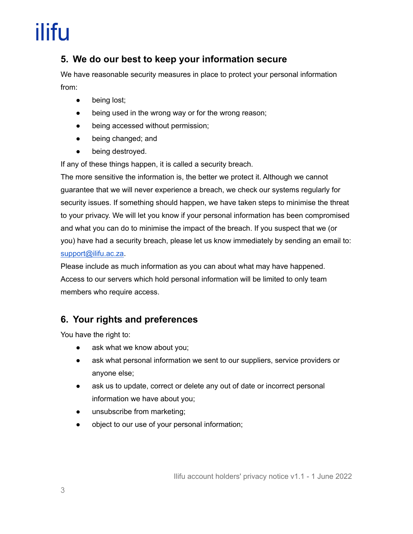### **5. We do our best to keep your information secure**

We have reasonable security measures in place to protect your personal information from:

- being lost;
- being used in the wrong way or for the wrong reason;
- being accessed without permission;
- being changed; and
- being destroyed.

If any of these things happen, it is called a security breach.

The more sensitive the information is, the better we protect it. Although we cannot guarantee that we will never experience a breach, we check our systems regularly for security issues. If something should happen, we have taken steps to minimise the threat to your privacy. We will let you know if your personal information has been compromised and what you can do to minimise the impact of the breach. If you suspect that we (or you) have had a security breach, please let us know immediately by sending an email to: [support@ilifu.ac.za.](mailto:support@ilifu.ac.za)

Please include as much information as you can about what may have happened. Access to our servers which hold personal information will be limited to only team members who require access.

### **6. Your rights and preferences**

You have the right to:

- ask what we know about you;
- ask what personal information we sent to our suppliers, service providers or anyone else;
- ask us to update, correct or delete any out of date or incorrect personal information we have about you;
- unsubscribe from marketing;
- object to our use of your personal information;